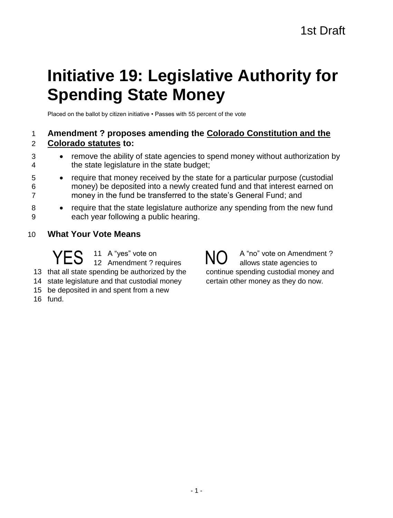# **Initiative 19: Legislative Authority for Spending State Money**

Placed on the ballot by citizen initiative • Passes with 55 percent of the vote

# 1 **Amendment ? proposes amending the Colorado Constitution and the**  2 **Colorado statutes to:**

- 3 remove the ability of state agencies to spend money without authorization by 4 the state legislature in the state budget;
- 5 require that money received by the state for a particular purpose (custodial 6 money) be deposited into a newly created fund and that interest earned on 7 money in the fund be transferred to the state's General Fund; and
- 8 require that the state legislature authorize any spending from the new fund 9 each year following a public hearing.
- 10 **What Your Vote Means**

 A "yes" vote on YES <sup>11 A "yes" vote on</sup><br>
YES 12 Amendment ? requires NO that all state spending be authorized by the state legislature and that custodial money be deposited in and spent from a new

16 fund.

A "no" vote on Amendment ? allows state agencies to continue spending custodial money and certain other money as they do now.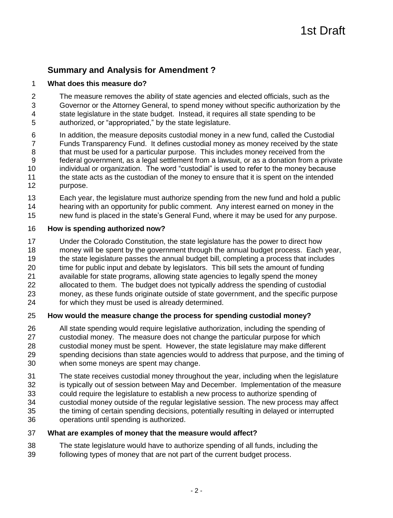# **Summary and Analysis for Amendment ?**

#### **What does this measure do?**

 The measure removes the ability of state agencies and elected officials, such as the Governor or the Attorney General, to spend money without specific authorization by the state legislature in the state budget. Instead, it requires all state spending to be authorized, or "appropriated," by the state legislature.

- In addition, the measure deposits custodial money in a new fund, called the Custodial Funds Transparency Fund. It defines custodial money as money received by the state 8 that must be used for a particular purpose. This includes money received from the federal government, as a legal settlement from a lawsuit, or as a donation from a private individual or organization. The word "custodial" is used to refer to the money because the state acts as the custodian of the money to ensure that it is spent on the intended purpose.
- Each year, the legislature must authorize spending from the new fund and hold a public hearing with an opportunity for public comment. Any interest earned on money in the
- new fund is placed in the state's General Fund, where it may be used for any purpose.

#### **How is spending authorized now?**

- Under the Colorado Constitution, the state legislature has the power to direct how money will be spent by the government through the annual budget process. Each year, the state legislature passes the annual budget bill, completing a process that includes time for public input and debate by legislators. This bill sets the amount of funding available for state programs, allowing state agencies to legally spend the money allocated to them. The budget does not typically address the spending of custodial money, as these funds originate outside of state government, and the specific purpose
- for which they must be used is already determined.

## **How would the measure change the process for spending custodial money?**

- All state spending would require legislative authorization, including the spending of custodial money. The measure does not change the particular purpose for which custodial money must be spent. However, the state legislature may make different spending decisions than state agencies would to address that purpose, and the timing of when some moneys are spent may change.
- The state receives custodial money throughout the year, including when the legislature
- is typically out of session between May and December. Implementation of the measure
- could require the legislature to establish a new process to authorize spending of
- custodial money outside of the regular legislative session. The new process may affect
- the timing of certain spending decisions, potentially resulting in delayed or interrupted operations until spending is authorized.
- **What are examples of money that the measure would affect?**
- The state legislature would have to authorize spending of all funds, including the following types of money that are not part of the current budget process.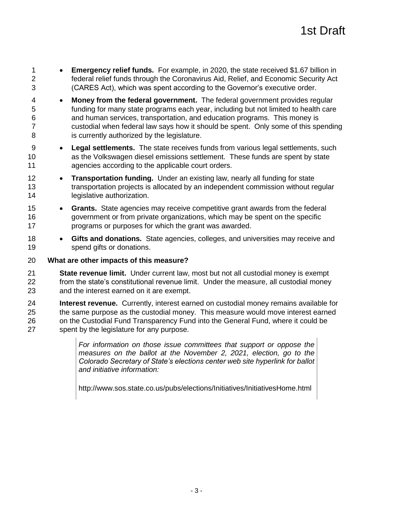- **Emergency relief funds.** For example, in 2020, the state received \$1.67 billion in federal relief funds through the Coronavirus Aid, Relief, and Economic Security Act (CARES Act), which was spent according to the Governor's executive order.
- **Money from the federal government.** The federal government provides regular funding for many state programs each year, including but not limited to health care and human services, transportation, and education programs. This money is custodial when federal law says how it should be spent. Only some of this spending is currently authorized by the legislature.
- **Legal settlements.** The state receives funds from various legal settlements, such as the Volkswagen diesel emissions settlement. These funds are spent by state agencies according to the applicable court orders.
- **Transportation funding.** Under an existing law, nearly all funding for state transportation projects is allocated by an independent commission without regular 14 legislative authorization.
- **Grants.** State agencies may receive competitive grant awards from the federal government or from private organizations, which may be spent on the specific programs or purposes for which the grant was awarded.
- **Gifts and donations.** State agencies, colleges, and universities may receive and spend gifts or donations.

#### **What are other impacts of this measure?**

- **State revenue limit.** Under current law, most but not all custodial money is exempt from the state's constitutional revenue limit. Under the measure, all custodial money and the interest earned on it are exempt.
- **Interest revenue.** Currently, interest earned on custodial money remains available for the same purpose as the custodial money. This measure would move interest earned on the Custodial Fund Transparency Fund into the General Fund, where it could be spent by the legislature for any purpose.

*For information on those issue committees that support or oppose the measures on the ballot at the November 2, 2021, election, go to the Colorado Secretary of State's elections center web site hyperlink for ballot and initiative information:*

http://www.sos.state.co.us/pubs/elections/Initiatives/InitiativesHome.html